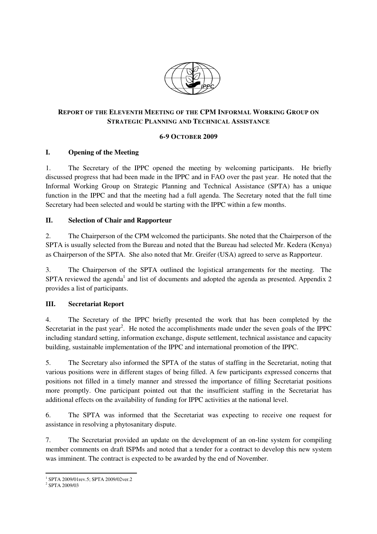

## **REPORT OF THE ELEVENTH MEETING OF THE CPM INFORMAL WORKING GROUP ON STRATEGIC PLANNING AND TECHNICAL ASSISTANCE**

#### **6-9 OCTOBER 2009**

## **I. Opening of the Meeting**

1. The Secretary of the IPPC opened the meeting by welcoming participants. He briefly discussed progress that had been made in the IPPC and in FAO over the past year. He noted that the Informal Working Group on Strategic Planning and Technical Assistance (SPTA) has a unique function in the IPPC and that the meeting had a full agenda. The Secretary noted that the full time Secretary had been selected and would be starting with the IPPC within a few months.

## **II. Selection of Chair and Rapporteur**

2. The Chairperson of the CPM welcomed the participants. She noted that the Chairperson of the SPTA is usually selected from the Bureau and noted that the Bureau had selected Mr. Kedera (Kenya) as Chairperson of the SPTA. She also noted that Mr. Greifer (USA) agreed to serve as Rapporteur.

3. The Chairperson of the SPTA outlined the logistical arrangements for the meeting. The SPTA reviewed the agenda<sup>1</sup> and list of documents and adopted the agenda as presented. Appendix 2 provides a list of participants.

## **III. Secretariat Report**

4. The Secretary of the IPPC briefly presented the work that has been completed by the Secretariat in the past year<sup>2</sup>. He noted the accomplishments made under the seven goals of the IPPC including standard setting, information exchange, dispute settlement, technical assistance and capacity building, sustainable implementation of the IPPC and international promotion of the IPPC.

5. The Secretary also informed the SPTA of the status of staffing in the Secretariat, noting that various positions were in different stages of being filled. A few participants expressed concerns that positions not filled in a timely manner and stressed the importance of filling Secretariat positions more promptly. One participant pointed out that the insufficient staffing in the Secretariat has additional effects on the availability of funding for IPPC activities at the national level.

6. The SPTA was informed that the Secretariat was expecting to receive one request for assistance in resolving a phytosanitary dispute.

7. The Secretariat provided an update on the development of an on-line system for compiling member comments on draft ISPMs and noted that a tender for a contract to develop this new system was imminent. The contract is expected to be awarded by the end of November.

<sup>1</sup> SPTA 2009/01rev.5; SPTA 2009/02ver.2

<sup>2</sup> SPTA 2009/03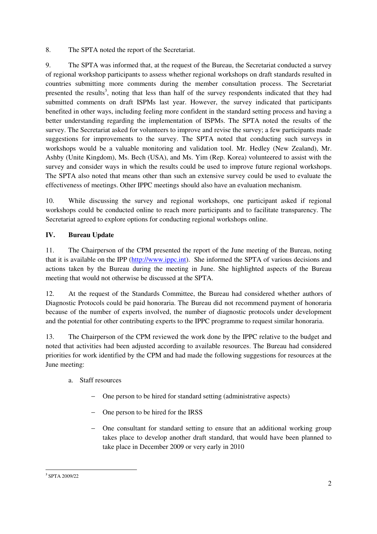8. The SPTA noted the report of the Secretariat.

9. The SPTA was informed that, at the request of the Bureau, the Secretariat conducted a survey of regional workshop participants to assess whether regional workshops on draft standards resulted in countries submitting more comments during the member consultation process. The Secretariat presented the results<sup>3</sup>, noting that less than half of the survey respondents indicated that they had submitted comments on draft ISPMs last year. However, the survey indicated that participants benefited in other ways, including feeling more confident in the standard setting process and having a better understanding regarding the implementation of ISPMs. The SPTA noted the results of the survey. The Secretariat asked for volunteers to improve and revise the survey; a few participants made suggestions for improvements to the survey. The SPTA noted that conducting such surveys in workshops would be a valuable monitoring and validation tool. Mr. Hedley (New Zealand), Mr. Ashby (Unite Kingdom), Ms. Bech (USA), and Ms. Yim (Rep. Korea) volunteered to assist with the survey and consider ways in which the results could be used to improve future regional workshops. The SPTA also noted that means other than such an extensive survey could be used to evaluate the effectiveness of meetings. Other IPPC meetings should also have an evaluation mechanism.

10. While discussing the survey and regional workshops, one participant asked if regional workshops could be conducted online to reach more participants and to facilitate transparency. The Secretariat agreed to explore options for conducting regional workshops online.

# **IV. Bureau Update**

11. The Chairperson of the CPM presented the report of the June meeting of the Bureau, noting that it is available on the IPP (http://www.ippc.int). She informed the SPTA of various decisions and actions taken by the Bureau during the meeting in June. She highlighted aspects of the Bureau meeting that would not otherwise be discussed at the SPTA.

12. At the request of the Standards Committee, the Bureau had considered whether authors of Diagnostic Protocols could be paid honoraria. The Bureau did not recommend payment of honoraria because of the number of experts involved, the number of diagnostic protocols under development and the potential for other contributing experts to the IPPC programme to request similar honoraria.

13. The Chairperson of the CPM reviewed the work done by the IPPC relative to the budget and noted that activities had been adjusted according to available resources. The Bureau had considered priorities for work identified by the CPM and had made the following suggestions for resources at the June meeting:

# a. Staff resources

- − One person to be hired for standard setting (administrative aspects)
- − One person to be hired for the IRSS
- − One consultant for standard setting to ensure that an additional working group takes place to develop another draft standard, that would have been planned to take place in December 2009 or very early in 2010

ı 3 SPTA 2009/22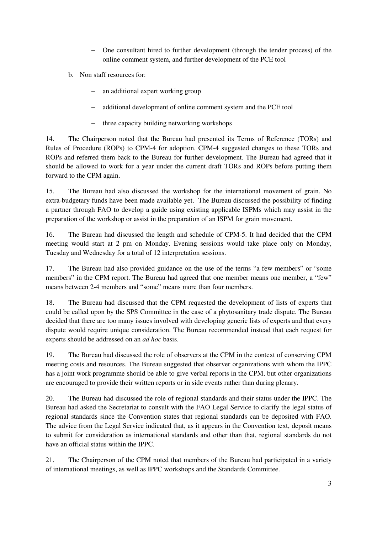- − One consultant hired to further development (through the tender process) of the online comment system, and further development of the PCE tool
- b. Non staff resources for:
	- − an additional expert working group
	- − additional development of online comment system and the PCE tool
	- − three capacity building networking workshops

14. The Chairperson noted that the Bureau had presented its Terms of Reference (TORs) and Rules of Procedure (ROPs) to CPM-4 for adoption. CPM-4 suggested changes to these TORs and ROPs and referred them back to the Bureau for further development. The Bureau had agreed that it should be allowed to work for a year under the current draft TORs and ROPs before putting them forward to the CPM again.

15. The Bureau had also discussed the workshop for the international movement of grain. No extra-budgetary funds have been made available yet. The Bureau discussed the possibility of finding a partner through FAO to develop a guide using existing applicable ISPMs which may assist in the preparation of the workshop or assist in the preparation of an ISPM for grain movement.

16. The Bureau had discussed the length and schedule of CPM-5. It had decided that the CPM meeting would start at 2 pm on Monday. Evening sessions would take place only on Monday, Tuesday and Wednesday for a total of 12 interpretation sessions.

17. The Bureau had also provided guidance on the use of the terms "a few members" or "some members" in the CPM report. The Bureau had agreed that one member means one member, a "few" means between 2-4 members and "some" means more than four members.

18. The Bureau had discussed that the CPM requested the development of lists of experts that could be called upon by the SPS Committee in the case of a phytosanitary trade dispute. The Bureau decided that there are too many issues involved with developing generic lists of experts and that every dispute would require unique consideration. The Bureau recommended instead that each request for experts should be addressed on an *ad hoc* basis.

19. The Bureau had discussed the role of observers at the CPM in the context of conserving CPM meeting costs and resources. The Bureau suggested that observer organizations with whom the IPPC has a joint work programme should be able to give verbal reports in the CPM, but other organizations are encouraged to provide their written reports or in side events rather than during plenary.

20. The Bureau had discussed the role of regional standards and their status under the IPPC. The Bureau had asked the Secretariat to consult with the FAO Legal Service to clarify the legal status of regional standards since the Convention states that regional standards can be deposited with FAO. The advice from the Legal Service indicated that, as it appears in the Convention text, deposit means to submit for consideration as international standards and other than that, regional standards do not have an official status within the IPPC.

21. The Chairperson of the CPM noted that members of the Bureau had participated in a variety of international meetings, as well as IPPC workshops and the Standards Committee.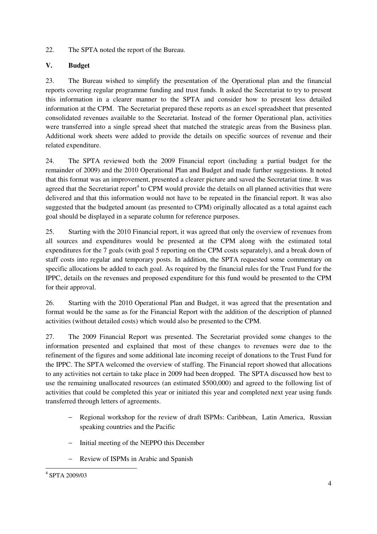22. The SPTA noted the report of the Bureau.

# **V. Budget**

23. The Bureau wished to simplify the presentation of the Operational plan and the financial reports covering regular programme funding and trust funds. It asked the Secretariat to try to present this information in a clearer manner to the SPTA and consider how to present less detailed information at the CPM. The Secretariat prepared these reports as an excel spreadsheet that presented consolidated revenues available to the Secretariat. Instead of the former Operational plan, activities were transferred into a single spread sheet that matched the strategic areas from the Business plan. Additional work sheets were added to provide the details on specific sources of revenue and their related expenditure.

24. The SPTA reviewed both the 2009 Financial report (including a partial budget for the remainder of 2009) and the 2010 Operational Plan and Budget and made further suggestions. It noted that this format was an improvement, presented a clearer picture and saved the Secretariat time. It was agreed that the Secretariat report<sup>4</sup> to CPM would provide the details on all planned activities that were delivered and that this information would not have to be repeated in the financial report. It was also suggested that the budgeted amount (as presented to CPM) originally allocated as a total against each goal should be displayed in a separate column for reference purposes.

25. Starting with the 2010 Financial report, it was agreed that only the overview of revenues from all sources and expenditures would be presented at the CPM along with the estimated total expenditures for the 7 goals (with goal 5 reporting on the CPM costs separately), and a break down of staff costs into regular and temporary posts. In addition, the SPTA requested some commentary on specific allocations be added to each goal. As required by the financial rules for the Trust Fund for the IPPC, details on the revenues and proposed expenditure for this fund would be presented to the CPM for their approval.

26. Starting with the 2010 Operational Plan and Budget, it was agreed that the presentation and format would be the same as for the Financial Report with the addition of the description of planned activities (without detailed costs) which would also be presented to the CPM.

27. The 2009 Financial Report was presented. The Secretariat provided some changes to the information presented and explained that most of these changes to revenues were due to the refinement of the figures and some additional late incoming receipt of donations to the Trust Fund for the IPPC. The SPTA welcomed the overview of staffing. The Financial report showed that allocations to any activities not certain to take place in 2009 had been dropped. The SPTA discussed how best to use the remaining unallocated resources (an estimated \$500,000) and agreed to the following list of activities that could be completed this year or initiated this year and completed next year using funds transferred through letters of agreements.

- − Regional workshop for the review of draft ISPMs: Caribbean, Latin America, Russian speaking countries and the Pacific
- − Initial meeting of the NEPPO this December
- − Review of ISPMs in Arabic and Spanish

<sup>4</sup> SPTA 2009/03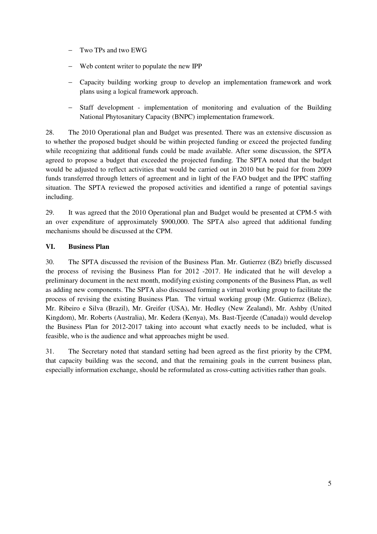- − Two TPs and two EWG
- Web content writer to populate the new IPP
- − Capacity building working group to develop an implementation framework and work plans using a logical framework approach.
- Staff development implementation of monitoring and evaluation of the Building National Phytosanitary Capacity (BNPC) implementation framework.

28. The 2010 Operational plan and Budget was presented. There was an extensive discussion as to whether the proposed budget should be within projected funding or exceed the projected funding while recognizing that additional funds could be made available. After some discussion, the SPTA agreed to propose a budget that exceeded the projected funding. The SPTA noted that the budget would be adjusted to reflect activities that would be carried out in 2010 but be paid for from 2009 funds transferred through letters of agreement and in light of the FAO budget and the IPPC staffing situation. The SPTA reviewed the proposed activities and identified a range of potential savings including.

29. It was agreed that the 2010 Operational plan and Budget would be presented at CPM-5 with an over expenditure of approximately \$900,000. The SPTA also agreed that additional funding mechanisms should be discussed at the CPM.

## **VI. Business Plan**

30. The SPTA discussed the revision of the Business Plan. Mr. Gutierrez (BZ) briefly discussed the process of revising the Business Plan for 2012 -2017. He indicated that he will develop a preliminary document in the next month, modifying existing components of the Business Plan, as well as adding new components. The SPTA also discussed forming a virtual working group to facilitate the process of revising the existing Business Plan. The virtual working group (Mr. Gutierrez (Belize), Mr. Ribeiro e Silva (Brazil), Mr. Greifer (USA), Mr. Hedley (New Zealand), Mr. Ashby (United Kingdom), Mr. Roberts (Australia), Mr. Kedera (Kenya), Ms. Bast-Tjeerde (Canada)) would develop the Business Plan for 2012-2017 taking into account what exactly needs to be included, what is feasible, who is the audience and what approaches might be used.

31. The Secretary noted that standard setting had been agreed as the first priority by the CPM, that capacity building was the second, and that the remaining goals in the current business plan, especially information exchange, should be reformulated as cross-cutting activities rather than goals.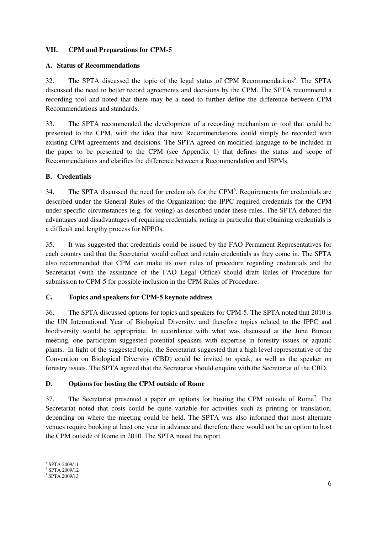## **VII. CPM and Preparations for CPM-5**

#### **A. Status of Recommendations**

32. The SPTA discussed the topic of the legal status of CPM Recommendations<sup>5</sup>. The SPTA discussed the need to better record agreements and decisions by the CPM. The SPTA recommend a recording tool and noted that there may be a need to further define the difference between CPM Recommendations and standards.

33. The SPTA recommended the development of a recording mechanism or tool that could be presented to the CPM, with the idea that new Recommendations could simply be recorded with existing CPM agreements and decisions. The SPTA agreed on modified language to be included in the paper to be presented to the CPM (see Appendix 1) that defines the status and scope of Recommendations and clarifies the difference between a Recommendation and ISPMs.

## **B. Credentials**

34. The SPTA discussed the need for credentials for the CPM $<sup>6</sup>$ . Requirements for credentials are</sup> described under the General Rules of the Organization; the IPPC required credentials for the CPM under specific circumstances (e.g. for voting) as described under these rules. The SPTA debated the advantages and disadvantages of requiring credentials, noting in particular that obtaining credentials is a difficult and lengthy process for NPPOs.

35. It was suggested that credentials could be issued by the FAO Permanent Representatives for each country and that the Secretariat would collect and retain credentials as they come in. The SPTA also recommended that CPM can make its own rules of procedure regarding credentials and the Secretariat (with the assistance of the FAO Legal Office) should draft Rules of Procedure for submission to CPM-5 for possible inclusion in the CPM Rules of Procedure.

## **C. Topics and speakers for CPM-5 keynote address**

36. The SPTA discussed options for topics and speakers for CPM-5. The SPTA noted that 2010 is the UN International Year of Biological Diversity, and therefore topics related to the IPPC and biodiversity would be appropriate. In accordance with what was discussed at the June Bureau meeting, one participant suggested potential speakers with expertise in forestry issues or aquatic plants. In light of the suggested topic, the Secretariat suggested that a high level representative of the Convention on Biological Diversity (CBD) could be invited to speak, as well as the speaker on forestry issues. The SPTA agreed that the Secretariat should enquire with the Secretariat of the CBD.

## **D. Options for hosting the CPM outside of Rome**

37. The Secretariat presented a paper on options for hosting the CPM outside of Rome<sup>7</sup>. The Secretariat noted that costs could be quite variable for activities such as printing or translation, depending on where the meeting could be held. The SPTA was also informed that most alternate venues require booking at least one year in advance and therefore there would not be an option to host the CPM outside of Rome in 2010. The SPTA noted the report.

ı

<sup>5</sup> SPTA 2009/11

<sup>6</sup> SPTA 2009/12

<sup>7</sup> SPTA 2009/13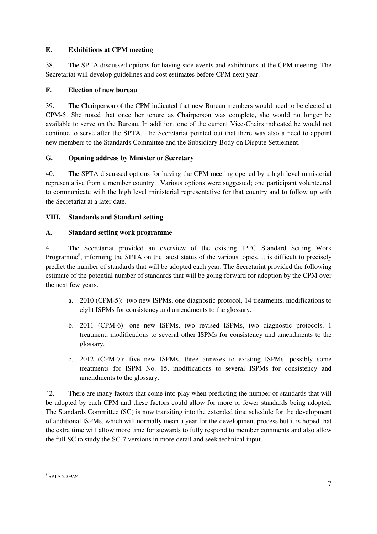## **E. Exhibitions at CPM meeting**

38. The SPTA discussed options for having side events and exhibitions at the CPM meeting. The Secretariat will develop guidelines and cost estimates before CPM next year.

# **F. Election of new bureau**

39. The Chairperson of the CPM indicated that new Bureau members would need to be elected at CPM-5. She noted that once her tenure as Chairperson was complete, she would no longer be available to serve on the Bureau. In addition, one of the current Vice-Chairs indicated he would not continue to serve after the SPTA. The Secretariat pointed out that there was also a need to appoint new members to the Standards Committee and the Subsidiary Body on Dispute Settlement.

## **G. Opening address by Minister or Secretary**

40. The SPTA discussed options for having the CPM meeting opened by a high level ministerial representative from a member country. Various options were suggested; one participant volunteered to communicate with the high level ministerial representative for that country and to follow up with the Secretariat at a later date.

## **VIII. Standards and Standard setting**

## **A. Standard setting work programme**

41. The Secretariat provided an overview of the existing IPPC Standard Setting Work Programme<sup>8</sup>, informing the SPTA on the latest status of the various topics. It is difficult to precisely predict the number of standards that will be adopted each year. The Secretariat provided the following estimate of the potential number of standards that will be going forward for adoption by the CPM over the next few years:

- a. 2010 (CPM-5): two new ISPMs, one diagnostic protocol, 14 treatments, modifications to eight ISPMs for consistency and amendments to the glossary.
- b. 2011 (CPM-6): one new ISPMs, two revised ISPMs, two diagnostic protocols, 1 treatment, modifications to several other ISPMs for consistency and amendments to the glossary.
- c. 2012 (CPM-7): five new ISPMs, three annexes to existing ISPMs, possibly some treatments for ISPM No. 15, modifications to several ISPMs for consistency and amendments to the glossary.

42. There are many factors that come into play when predicting the number of standards that will be adopted by each CPM and these factors could allow for more or fewer standards being adopted. The Standards Committee (SC) is now transiting into the extended time schedule for the development of additional ISPMs, which will normally mean a year for the development process but it is hoped that the extra time will allow more time for stewards to fully respond to member comments and also allow the full SC to study the SC-7 versions in more detail and seek technical input.

<sup>8</sup> SPTA 2009/24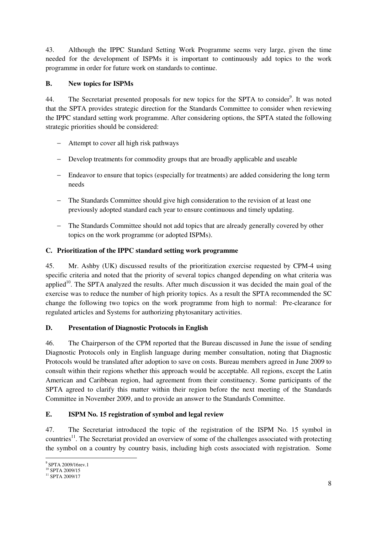43. Although the IPPC Standard Setting Work Programme seems very large, given the time needed for the development of ISPMs it is important to continuously add topics to the work programme in order for future work on standards to continue.

# **B. New topics for ISPMs**

44. The Secretariat presented proposals for new topics for the SPTA to consider<sup>9</sup>. It was noted that the SPTA provides strategic direction for the Standards Committee to consider when reviewing the IPPC standard setting work programme. After considering options, the SPTA stated the following strategic priorities should be considered:

- Attempt to cover all high risk pathways
- − Develop treatments for commodity groups that are broadly applicable and useable
- − Endeavor to ensure that topics (especially for treatments) are added considering the long term needs
- − The Standards Committee should give high consideration to the revision of at least one previously adopted standard each year to ensure continuous and timely updating.
- − The Standards Committee should not add topics that are already generally covered by other topics on the work programme (or adopted ISPMs).

## **C. Prioritization of the IPPC standard setting work programme**

45. Mr. Ashby (UK) discussed results of the prioritization exercise requested by CPM-4 using specific criteria and noted that the priority of several topics changed depending on what criteria was applied<sup>10</sup>. The SPTA analyzed the results. After much discussion it was decided the main goal of the exercise was to reduce the number of high priority topics. As a result the SPTA recommended the SC change the following two topics on the work programme from high to normal: Pre-clearance for regulated articles and Systems for authorizing phytosanitary activities.

## **D. Presentation of Diagnostic Protocols in English**

46. The Chairperson of the CPM reported that the Bureau discussed in June the issue of sending Diagnostic Protocols only in English language during member consultation, noting that Diagnostic Protocols would be translated after adoption to save on costs. Bureau members agreed in June 2009 to consult within their regions whether this approach would be acceptable. All regions, except the Latin American and Caribbean region, had agreement from their constituency. Some participants of the SPTA agreed to clarify this matter within their region before the next meeting of the Standards Committee in November 2009, and to provide an answer to the Standards Committee.

## **E. ISPM No. 15 registration of symbol and legal review**

47. The Secretariat introduced the topic of the registration of the ISPM No. 15 symbol in countries<sup>11</sup>. The Secretariat provided an overview of some of the challenges associated with protecting the symbol on a country by country basis, including high costs associated with registration. Some

ı <sup>9</sup> SPTA 2009/16rev.1

<sup>&</sup>lt;sup>10</sup> SPTA 2009/15

<sup>11</sup> SPTA 2009/17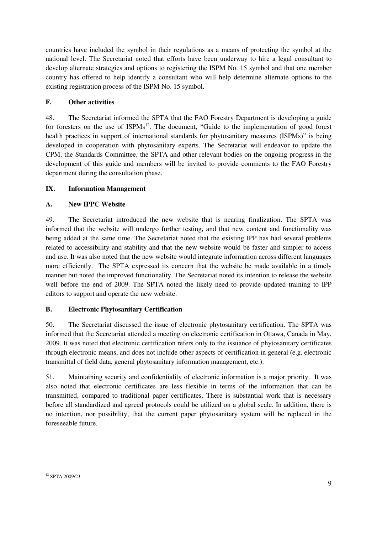countries have included the symbol in their regulations as a means of protecting the symbol at the national level. The Secretariat noted that efforts have been underway to hire a legal consultant to develop alternate strategies and options to registering the ISPM No. 15 symbol and that one member country has offered to help identify a consultant who will help determine alternate options to the existing registration process of the ISPM No. 15 symbol.

# **F. Other activities**

48. The Secretariat informed the SPTA that the FAO Forestry Department is developing a guide for foresters on the use of  $ISPMs<sup>12</sup>$ . The document, "Guide to the implementation of good forest health practices in support of international standards for phytosanitary measures (ISPMs)" is being developed in cooperation with phytosanitary experts. The Secretariat will endeavor to update the CPM, the Standards Committee, the SPTA and other relevant bodies on the ongoing progress in the development of this guide and members will be invited to provide comments to the FAO Forestry department during the consultation phase.

# **IX. Information Management**

# **A. New IPPC Website**

49. The Secretariat introduced the new website that is nearing finalization. The SPTA was informed that the website will undergo further testing, and that new content and functionality was being added at the same time. The Secretariat noted that the existing IPP has had several problems related to accessibility and stability and that the new website would be faster and simpler to access and use. It was also noted that the new website would integrate information across different languages more efficiently. The SPTA expressed its concern that the website be made available in a timely manner but noted the improved functionality. The Secretariat noted its intention to release the website well before the end of 2009. The SPTA noted the likely need to provide updated training to IPP editors to support and operate the new website.

# **B. Electronic Phytosanitary Certification**

50. The Secretariat discussed the issue of electronic phytosanitary certification. The SPTA was informed that the Secretariat attended a meeting on electronic certification in Ottawa, Canada in May, 2009. It was noted that electronic certification refers only to the issuance of phytosanitary certificates through electronic means, and does not include other aspects of certification in general (e.g. electronic transmittal of field data, general phytosanitary information management, etc.).

51. Maintaining security and confidentiality of electronic information is a major priority. It was also noted that electronic certificates are less flexible in terms of the information that can be transmitted, compared to traditional paper certificates. There is substantial work that is necessary before all standardized and agreed protocols could be utilized on a global scale. In addition, there is no intention, nor possibility, that the current paper phytosanitary system will be replaced in the foreseeable future.

 $\overline{\phantom{0}}$ <sup>12</sup> SPTA 2009/23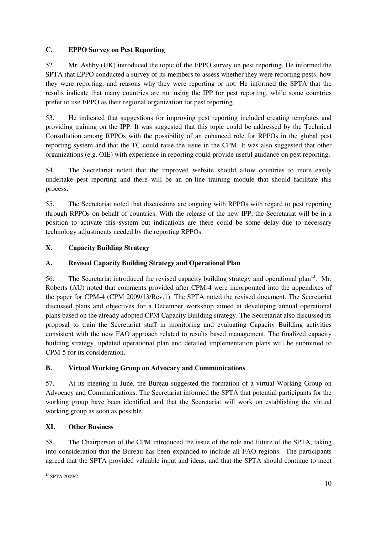# **C. EPPO Survey on Pest Reporting**

52. Mr. Ashby (UK) introduced the topic of the EPPO survey on pest reporting. He informed the SPTA that EPPO conducted a survey of its members to assess whether they were reporting pests, how they were reporting, and reasons why they were reporting or not. He informed the SPTA that the results indicate that many countries are not using the IPP for pest reporting, while some countries prefer to use EPPO as their regional organization for pest reporting.

53. He indicated that suggestions for improving pest reporting included creating templates and providing training on the IPP. It was suggested that this topic could be addressed by the Technical Consultation among RPPOs with the possibility of an enhanced role for RPPOs in the global pest reporting system and that the TC could raise the issue in the CPM. It was also suggested that other organizations (e.g. OIE) with experience in reporting could provide useful guidance on pest reporting.

54. The Secretariat noted that the improved website should allow countries to more easily undertake pest reporting and there will be an on-line training module that should facilitate this process.

55. The Secretariat noted that discussions are ongoing with RPPOs with regard to pest reporting through RPPOs on behalf of countries. With the release of the new IPP, the Secretariat will be in a position to activate this system but indications are there could be some delay due to necessary technology adjustments needed by the reporting RPPOs.

# **X. Capacity Building Strategy**

# **A. Revised Capacity Building Strategy and Operational Plan**

56. The Secretariat introduced the revised capacity building strategy and operational plan<sup>13</sup>. Mr. Roberts (AU) noted that comments provided after CPM-4 were incorporated into the appendixes of the paper for CPM-4 (CPM 2009/13/Rev.1). The SPTA noted the revised document. The Secretariat discussed plans and objectives for a December workshop aimed at developing annual operational plans based on the already adopted CPM Capacity Building strategy. The Secretariat also discussed its proposal to train the Secretariat staff in monitoring and evaluating Capacity Building activities consistent with the new FAO approach related to results based management. The finalized capacity building strategy, updated operational plan and detailed implementation plans will be submitted to CPM-5 for its consideration.

## **B. Virtual Working Group on Advocacy and Communications**

57. At its meeting in June, the Bureau suggested the formation of a virtual Working Group on Advocacy and Communications. The Secretariat informed the SPTA that potential participants for the working group have been identified and that the Secretariat will work on establishing the virtual working group as soon as possible.

## **XI. Other Business**

58. The Chairperson of the CPM introduced the issue of the role and future of the SPTA, taking into consideration that the Bureau has been expanded to include all FAO regions. The participants agreed that the SPTA provided valuable input and ideas, and that the SPTA should continue to meet

<sup>13</sup> SPTA 2009/21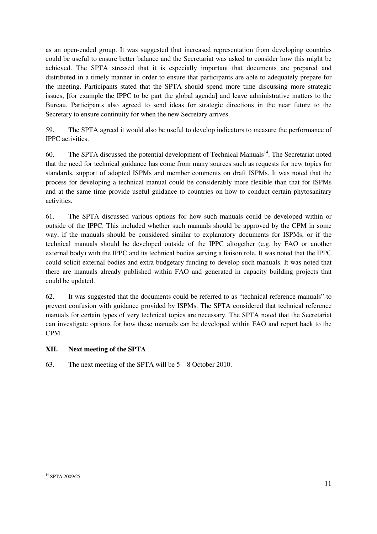as an open-ended group. It was suggested that increased representation from developing countries could be useful to ensure better balance and the Secretariat was asked to consider how this might be achieved. The SPTA stressed that it is especially important that documents are prepared and distributed in a timely manner in order to ensure that participants are able to adequately prepare for the meeting. Participants stated that the SPTA should spend more time discussing more strategic issues, [for example the IPPC to be part the global agenda] and leave administrative matters to the Bureau. Participants also agreed to send ideas for strategic directions in the near future to the Secretary to ensure continuity for when the new Secretary arrives.

59. The SPTA agreed it would also be useful to develop indicators to measure the performance of IPPC activities.

60. The SPTA discussed the potential development of Technical Manuals<sup>14</sup>. The Secretariat noted that the need for technical guidance has come from many sources such as requests for new topics for standards, support of adopted ISPMs and member comments on draft ISPMs. It was noted that the process for developing a technical manual could be considerably more flexible than that for ISPMs and at the same time provide useful guidance to countries on how to conduct certain phytosanitary activities.

61. The SPTA discussed various options for how such manuals could be developed within or outside of the IPPC. This included whether such manuals should be approved by the CPM in some way, if the manuals should be considered similar to explanatory documents for ISPMs, or if the technical manuals should be developed outside of the IPPC altogether (e.g. by FAO or another external body) with the IPPC and its technical bodies serving a liaison role. It was noted that the IPPC could solicit external bodies and extra budgetary funding to develop such manuals. It was noted that there are manuals already published within FAO and generated in capacity building projects that could be updated.

62. It was suggested that the documents could be referred to as "technical reference manuals" to prevent confusion with guidance provided by ISPMs. The SPTA considered that technical reference manuals for certain types of very technical topics are necessary. The SPTA noted that the Secretariat can investigate options for how these manuals can be developed within FAO and report back to the CPM.

# **XII. Next meeting of the SPTA**

63. The next meeting of the SPTA will be 5 – 8 October 2010.

<sup>&</sup>lt;sup>14</sup> SPTA 2009/25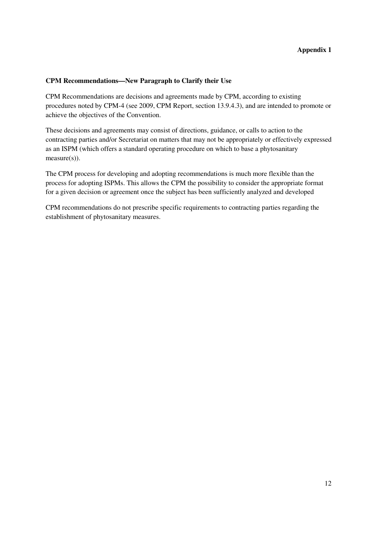#### **CPM Recommendations—New Paragraph to Clarify their Use**

CPM Recommendations are decisions and agreements made by CPM, according to existing procedures noted by CPM-4 (see 2009, CPM Report, section 13.9.4.3), and are intended to promote or achieve the objectives of the Convention.

These decisions and agreements may consist of directions, guidance, or calls to action to the contracting parties and/or Secretariat on matters that may not be appropriately or effectively expressed as an ISPM (which offers a standard operating procedure on which to base a phytosanitary measure(s)).

The CPM process for developing and adopting recommendations is much more flexible than the process for adopting ISPMs. This allows the CPM the possibility to consider the appropriate format for a given decision or agreement once the subject has been sufficiently analyzed and developed

CPM recommendations do not prescribe specific requirements to contracting parties regarding the establishment of phytosanitary measures.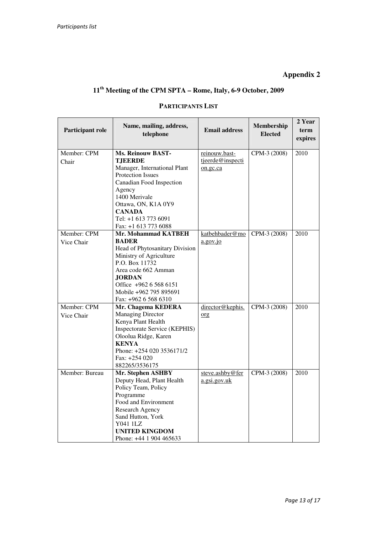#### **Appendix 2**

# **11th Meeting of the CPM SPTA – Rome, Italy, 6-9 October, 2009**

#### **Participant role Name, mailing, address, Email address Membership Elected Elected 2 Year term expires**  Member: CPM Chair **Ms. Reinouw BAST-TJEERDE**  Manager, International Plant Protection Issues Canadian Food Inspection Agency 1400 Merivale Ottawa, ON, K1A 0Y9 **CANADA**  Tel: +1 613 773 6091 Fax: +1 613 773 6088 reinouw.basttjeerde@inspecti on.gc.ca CPM-3 (2008) 2010 Member: CPM Vice Chair **Mr. Mohammad KATBEH BADER** Head of Phytosanitary Division Ministry of Agriculture P.O. Box 11732 Area code 662 Amman **JORDAN**  Office +962 6 568 6151 Mobile +962 795 895691 Fax: +962 6 568 6310 katbehbader@mo a.gov.jo CPM-3 (2008) 2010 Member: CPM Vice Chair **Mr. Chagema KEDERA**  Managing Director Kenya Plant Health Inspectorate Service (KEPHIS) Oloolua Ridge, Karen **KENYA**  Phone: +254 020 3536171/2 Fax: +254 020 882265/3536175 director@kephis. org CPM-3 (2008) 2010 Member: Bureau **Mr. Stephen ASHBY**  Deputy Head, Plant Health Policy Team, Policy Programme Food and Environment Research Agency Sand Hutton, York Y041 1LZ **UNITED KINGDOM**  Phone: +44 1 904 465633 steve.ashby@fer a.gsi.gov.uk CPM-3 (2008) 2010

#### **PARTICIPANTS LIST**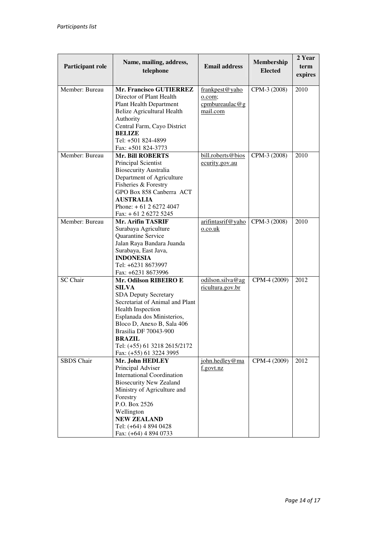| Participant role  | Name, mailing, address,<br>telephone                                                                                                                                                                                                                                                                 | <b>Email address</b>                                   | Membership<br><b>Elected</b> | 2 Year<br>term<br>expires |
|-------------------|------------------------------------------------------------------------------------------------------------------------------------------------------------------------------------------------------------------------------------------------------------------------------------------------------|--------------------------------------------------------|------------------------------|---------------------------|
| Member: Bureau    | <b>Mr. Francisco GUTIERREZ</b><br>Director of Plant Health<br><b>Plant Health Department</b><br><b>Belize Agricultural Health</b><br>Authority<br>Central Farm, Cayo District<br><b>BELIZE</b><br>Tel: +501 824-4899<br>Fax: +501 824-3773                                                           | frankpest@yaho<br>o.com;<br>cpmbureaulac@g<br>mail.com | CPM-3 (2008)                 | 2010                      |
| Member: Bureau    | <b>Mr. Bill ROBERTS</b><br>Principal Scientist<br><b>Biosecurity Australia</b><br>Department of Agriculture<br>Fisheries & Forestry<br>GPO Box 858 Canberra ACT<br><b>AUSTRALIA</b><br>Phone: $+61262724047$<br>Fax: $+ 61 2 6272 5245$                                                              | bill.roberts@bios<br>ecurity.gov.au                    | CPM-3 (2008)                 | 2010                      |
| Member: Bureau    | <b>Mr. Arifin TASRIF</b><br>Surabaya Agriculture<br>Quarantine Service<br>Jalan Raya Bandara Juanda<br>Surabaya, East Java,<br><b>INDONESIA</b><br>Tel: +6231 8673997<br>Fax: +6231 8673996                                                                                                          | arifintasrif@yaho<br>$0.$ co.uk                        | CPM-3 (2008)                 | 2010                      |
| <b>SC</b> Chair   | Mr. Odilson RIBEIRO E<br><b>SILVA</b><br><b>SDA Deputy Secretary</b><br>Secretariat of Animal and Plant<br><b>Health Inspection</b><br>Esplanada dos Ministerios,<br>Bloco D, Anexo B, Sala 406<br>Brasilia DF 70043-900<br><b>BRAZIL</b><br>Tel: (+55) 61 3218 2615/2172<br>Fax: (+55) 61 3224 3995 | odilson.silva@ag<br>ricultura.gov.br                   | CPM-4 (2009)                 | 2012                      |
| <b>SBDS</b> Chair | Mr. John HEDLEY<br>Principal Adviser<br><b>International Coordination</b><br><b>Biosecurity New Zealand</b><br>Ministry of Agriculture and<br>Forestry<br>P.O. Box 2526<br>Wellington<br><b>NEW ZEALAND</b><br>Tel: (+64) 4 894 0428<br>Fax: (+64) 4 894 0733                                        | john.hedley@ma<br>f.govt.nz                            | CPM-4 (2009)                 | 2012                      |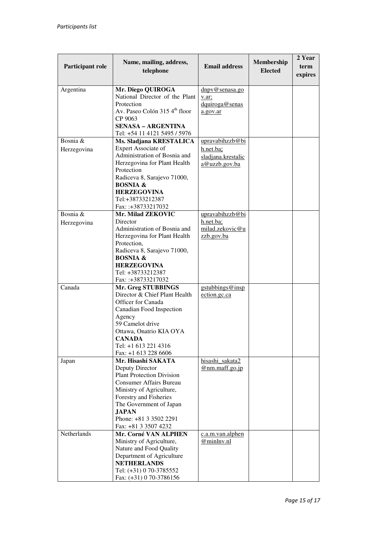| Participant role        | Name, mailing, address,<br>telephone                                                                                                                                                                                                                           | <b>Email address</b>                                                | Membership<br><b>Elected</b> | 2 Year<br>term<br>expires |
|-------------------------|----------------------------------------------------------------------------------------------------------------------------------------------------------------------------------------------------------------------------------------------------------------|---------------------------------------------------------------------|------------------------------|---------------------------|
| Argentina               | Mr. Diego QUIROGA<br>National Director of the Plant<br>Protection<br>Av. Paseo Colón 315 4 <sup>th</sup> floor<br>CP 9063                                                                                                                                      | dnpv@senasa.go<br>v.ar;<br>dquiroga@senas<br>a.gov.ar               |                              |                           |
|                         | <b>SENASA – ARGENTINA</b><br>Tel: +54 11 4121 5495 / 5976                                                                                                                                                                                                      |                                                                     |                              |                           |
| Bosnia &<br>Herzegovina | Ms. Sladjana KRESTALICA<br><b>Expert Associate of</b><br>Administration of Bosnia and<br>Herzegovina for Plant Health<br>Protection<br>Radiceva 8, Sarajevo 71000,                                                                                             | upravabihzzb@bi<br>h.net.ba;<br>sladjana.krestalic<br>a@uzzb.gov.ba |                              |                           |
|                         | <b>BOSNIA &amp;</b><br><b>HERZEGOVINA</b><br>Tel:+38733212387<br>Fax: :+38733217032                                                                                                                                                                            |                                                                     |                              |                           |
| Bosnia &<br>Herzegovina | Mr. Milad ZEKOVIC<br>Director<br>Administration of Bosnia and<br>Herzegovina for Plant Health<br>Protection,                                                                                                                                                   | upravabihzzb@bi<br>h.net.ba;<br>milad.zekovic@u<br>zzb.gov.ba       |                              |                           |
|                         | Radiceva 8, Sarajevo 71000,<br><b>BOSNIA &amp;</b><br><b>HERZEGOVINA</b><br>Tel: +38733212387<br>Fax: :+38733217032                                                                                                                                            |                                                                     |                              |                           |
| Canada                  | Mr. Greg STUBBINGS<br>Director & Chief Plant Health<br>Officer for Canada<br>Canadian Food Inspection<br>Agency<br>59 Camelot drive<br>Ottawa, Onatrio KIA OYA<br>CANADA<br>Tel: +1 613 221 4316<br>Fax: +1 613 228 6606                                       | gstubbings@insp<br>ection.gc.ca                                     |                              |                           |
| Japan                   | Mr. Hisashi SAKATA<br>Deputy Director<br><b>Plant Protection Division</b><br><b>Consumer Affairs Bureau</b><br>Ministry of Agriculture,<br>Forestry and Fisheries<br>The Government of Japan<br><b>JAPAN</b><br>Phone: +81 3 3502 2291<br>Fax: +81 3 3507 4232 | hisashi sakata2<br>@nm.maff.go.jp                                   |                              |                           |
| Netherlands             | Mr. Corné VAN ALPHEN<br>Ministry of Agriculture,<br>Nature and Food Quality<br>Department of Agriculture<br><b>NETHERLANDS</b><br>Tel: (+31) 0 70-3785552<br>Fax: (+31) 0 70-3786156                                                                           | c.a.m.van.alphen<br>@minlnv.nl                                      |                              |                           |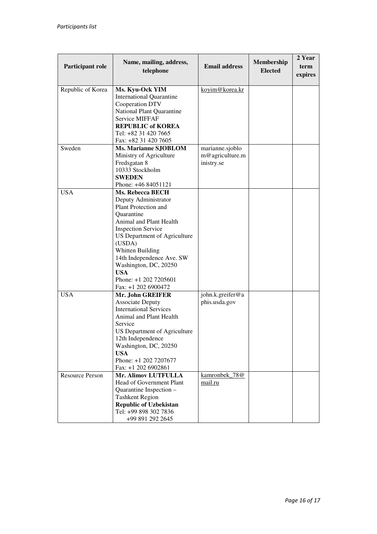| Participant role       | Name, mailing, address,                                          | <b>Email address</b> | Membership<br><b>Elected</b> | 2 Year<br>term |
|------------------------|------------------------------------------------------------------|----------------------|------------------------------|----------------|
|                        | telephone                                                        |                      |                              | expires        |
|                        |                                                                  |                      |                              |                |
| Republic of Korea      | Ms. Kyu-Ock YIM                                                  | koyim@korea.kr       |                              |                |
|                        | <b>International Quarantine</b>                                  |                      |                              |                |
|                        | Cooperation DTV                                                  |                      |                              |                |
|                        | National Plant Quarantine                                        |                      |                              |                |
|                        | <b>Service MIFFAF</b>                                            |                      |                              |                |
|                        | <b>REPUBLIC of KOREA</b>                                         |                      |                              |                |
|                        | Tel: +82 31 420 7665                                             |                      |                              |                |
|                        | Fax: +82 31 420 7605                                             |                      |                              |                |
| Sweden                 | Ms. Marianne SJOBLOM                                             | marianne.sjoblo      |                              |                |
|                        | Ministry of Agriculture                                          | m@agriculture.m      |                              |                |
|                        | Fredsgatan 8                                                     | inistry.se           |                              |                |
|                        | 10333 Stockholm                                                  |                      |                              |                |
|                        | <b>SWEDEN</b>                                                    |                      |                              |                |
|                        | Phone: +46 84051121                                              |                      |                              |                |
| <b>USA</b>             | Ms. Rebecca BECH                                                 |                      |                              |                |
|                        | Deputy Administrator                                             |                      |                              |                |
|                        | Plant Protection and<br>Ouarantine                               |                      |                              |                |
|                        | Animal and Plant Health                                          |                      |                              |                |
|                        |                                                                  |                      |                              |                |
|                        | <b>Inspection Service</b><br><b>US Department of Agriculture</b> |                      |                              |                |
|                        | (USDA)                                                           |                      |                              |                |
|                        | Whitten Building                                                 |                      |                              |                |
|                        | 14th Independence Ave. SW                                        |                      |                              |                |
|                        | Washington, DC, 20250                                            |                      |                              |                |
|                        | <b>USA</b>                                                       |                      |                              |                |
|                        | Phone: $+1$ 202 7205601                                          |                      |                              |                |
|                        | Fax: +1 202 6900472                                              |                      |                              |                |
| <b>USA</b>             | Mr. John GREIFER                                                 | john.k.greifer@a     |                              |                |
|                        | <b>Associate Deputy</b>                                          | phis.usda.gov        |                              |                |
|                        | <b>International Services</b>                                    |                      |                              |                |
|                        | Animal and Plant Health                                          |                      |                              |                |
|                        | Service                                                          |                      |                              |                |
|                        | US Department of Agriculture                                     |                      |                              |                |
|                        | 12th Independence                                                |                      |                              |                |
|                        | Washington, DC, 20250                                            |                      |                              |                |
|                        | <b>USA</b>                                                       |                      |                              |                |
|                        | Phone: +1 202 7207677                                            |                      |                              |                |
|                        | Fax: +1 202 6902861                                              |                      |                              |                |
| <b>Resource Person</b> | <b>Mr. Alimov LUTFULLA</b>                                       | kamronbek_78@        |                              |                |
|                        | Head of Government Plant                                         | mail.ru              |                              |                |
|                        | Quarantine Inspection -                                          |                      |                              |                |
|                        | <b>Tashkent Region</b>                                           |                      |                              |                |
|                        | <b>Republic of Uzbekistan</b><br>Tel: +99 898 302 7836           |                      |                              |                |
|                        |                                                                  |                      |                              |                |
|                        | +99 891 292 2645                                                 |                      |                              |                |